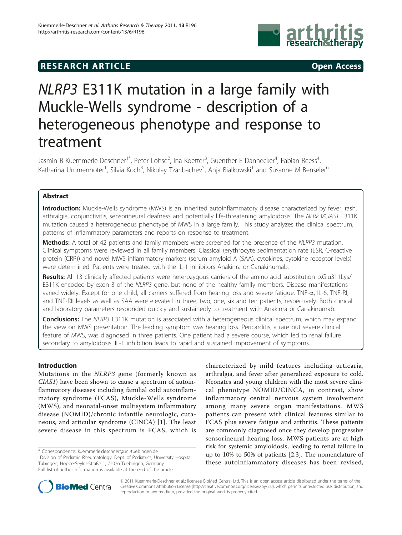## **RESEARCH ARTICLE Example 2014 CONSUMING ACCESS**



# NLRP3 E311K mutation in a large family with Muckle-Wells syndrome - description of a heterogeneous phenotype and response to treatment

Jasmin B Kuemmerle-Deschner<sup>1\*</sup>, Peter Lohse<sup>2</sup>, Ina Koetter<sup>3</sup>, Guenther E Dannecker<sup>4</sup>, Fabian Reess<sup>4</sup> , Katharina Ummenhofer<sup>1</sup>, Silvia Koch<sup>3</sup>, Nikolay Tzaribachev<sup>5</sup>, Anja Bialkowski<sup>1</sup> and Susanne M Benseler<sup>6</sup>

## Abstract

Introduction: Muckle-Wells syndrome (MWS) is an inherited autoinflammatory disease characterized by fever, rash, arthralgia, conjunctivitis, sensorineural deafness and potentially life-threatening amyloidosis. The NLRP3/CIAS1 E311K mutation caused a heterogeneous phenotype of MWS in a large family. This study analyzes the clinical spectrum, patterns of inflammatory parameters and reports on response to treatment.

Methods: A total of 42 patients and family members were screened for the presence of the NLRP3 mutation. Clinical symptoms were reviewed in all family members. Classical (erythrocyte sedimentation rate (ESR, C-reactive protein (CRP)) and novel MWS inflammatory markers (serum amyloid A (SAA), cytokines, cytokine receptor levels) were determined. Patients were treated with the IL-1 inhibitors Anakinra or Canakinumab.

Results: All 13 clinically affected patients were heterozygous carriers of the amino acid substitution p.Glu311Lys/ E311K encoded by exon 3 of the NLRP3 gene, but none of the healthy family members. Disease manifestations varied widely. Except for one child, all carriers suffered from hearing loss and severe fatigue. TNF- $\alpha$ , IL-6, TNF-RI, and TNF-RII levels as well as SAA were elevated in three, two, one, six and ten patients, respectively. Both clinical and laboratory parameters responded quickly and sustainedly to treatment with Anakinra or Canakinumab.

**Conclusions:** The NLRP3 E311K mutation is associated with a heterogeneous clinical spectrum, which may expand the view on MWS presentation. The leading symptom was hearing loss. Pericarditis, a rare but severe clinical feature of MWS, was diagnosed in three patients. One patient had a severe course, which led to renal failure secondary to amyloidosis. IL-1 inhibition leads to rapid and sustained improvement of symptoms.

## Introduction

Mutations in the NLRP3 gene (formerly known as CIAS1) have been shown to cause a spectrum of autoinflammatory diseases including familial cold autoinflammatory syndrome (FCAS), Muckle-Wells syndrome (MWS), and neonatal-onset multisystem inflammatory disease (NOMID)/chronic infantile neurologic, cutaneous, and articular syndrome (CINCA) [[1\]](#page-7-0). The least severe disease in this spectrum is FCAS, which is

\* Correspondence: [kuemmerle.deschner@uni-tuebingen.de](mailto:kuemmerle.deschner@uni-tuebingen.de)

<sup>1</sup> Division of Pediatric Rheumatology, Dept. of Pediatrics, University Hospital Tübingen, Hoppe-Seyler-Straße 1, 72076 Tuebingen, Germany Full list of author information is available at the end of the article

characterized by mild features including urticaria, arthralgia, and fever after generalized exposure to cold. Neonates and young children with the most severe clinical phenotype NOMID/CINCA, in contrast, show inflammatory central nervous system involvement among many severe organ manifestations. MWS patients can present with clinical features similar to FCAS plus severe fatigue and arthritis. These patients are commonly diagnosed once they develop progressive sensorineural hearing loss. MWS patients are at high risk for systemic amyloidosis, leading to renal failure in up to 10% to 50% of patients [\[2,3\]](#page-7-0). The nomenclature of these autoinflammatory diseases has been revised,



© 2011 Kuemmerle-Deschner et al.; licensee BioMed Central Ltd. This is an open access article distributed under the terms of the Creative Commons Attribution License (<http://creativecommons.org/licenses/by/2.0>), which permits unrestricted use, distribution, and reproduction in any medium, provided the original work is properly cited.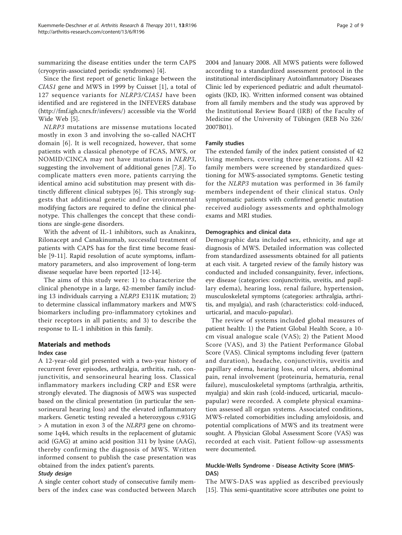summarizing the disease entities under the term CAPS (cryopyrin-associated periodic syndromes) [[4\]](#page-7-0).

Since the first report of genetic linkage between the CIAS1 gene and MWS in 1999 by Cuisset [[1\]](#page-7-0), a total of 127 sequence variants for NLRP3/CIAS1 have been identified and are registered in the INFEVERS database ([http://fmf.igh.cnrs.fr/infevers/\)](http://fmf.igh.cnrs.fr/infevers/) accessible via the World Wide Web [[5\]](#page-7-0).

NLRP3 mutations are missense mutations located mostly in exon 3 and involving the so-called NACHT domain [[6](#page-7-0)]. It is well recognized, however, that some patients with a classical phenotype of FCAS, MWS, or NOMID/CINCA may not have mutations in NLRP3, suggesting the involvement of additional genes [\[7,8](#page-7-0)]. To complicate matters even more, patients carrying the identical amino acid substitution may present with distinctly different clinical subtypes [\[6](#page-7-0)]. This strongly suggests that additional genetic and/or environmental modifying factors are required to define the clinical phenotype. This challenges the concept that these conditions are single-gene disorders.

With the advent of IL-1 inhibitors, such as Anakinra, Rilonacept and Canakinumab, successful treatment of patients with CAPS has for the first time become feasible [[9-11](#page-7-0)]. Rapid resolution of acute symptoms, inflammatory parameters, and also improvement of long-term disease sequelae have been reported [\[12](#page-7-0)[-14](#page-8-0)].

The aims of this study were: 1) to characterize the clinical phenotype in a large, 42-member family including 13 individuals carrying a NLRP3 E311K mutation; 2) to determine classical inflammatory markers and MWS biomarkers including pro-inflammatory cytokines and their receptors in all patients; and 3) to describe the response to IL-1 inhibition in this family.

## Materials and methods Index case

## A 12-year-old girl presented with a two-year history of recurrent fever episodes, arthralgia, arthritis, rash, conjunctivitis, and sensorineural hearing loss. Classical inflammatory markers including CRP and ESR were strongly elevated. The diagnosis of MWS was suspected based on the clinical presentation (in particular the sensorineural hearing loss) and the elevated inflammatory markers. Genetic testing revealed a heterozygous c.931G > A mutation in exon 3 of the NLRP3 gene on chromosome 1q44, which results in the replacement of glutamic acid (GAG) at amino acid position 311 by lysine (AAG), thereby confirming the diagnosis of MWS. Written informed consent to publish the case presentation was obtained from the index patient's parents.

## Study design

A single center cohort study of consecutive family members of the index case was conducted between March 2004 and January 2008. All MWS patients were followed according to a standardized assessment protocol in the institutional interdisciplinary Autoinflammatory Diseases Clinic led by experienced pediatric and adult rheumatologists (JKD, IK). Written informed consent was obtained from all family members and the study was approved by the Institutional Review Board (IRB) of the Faculty of Medicine of the University of Tübingen (REB No 326/ 2007B01).

## Family studies

The extended family of the index patient consisted of 42 living members, covering three generations. All 42 family members were screened by standardized questioning for MWS-associated symptoms. Genetic testing for the NLRP3 mutation was performed in 36 family members independent of their clinical status. Only symptomatic patients with confirmed genetic mutation received audiology assessments and ophthalmology exams and MRI studies.

#### Demographics and clinical data

Demographic data included sex, ethnicity, and age at diagnosis of MWS. Detailed information was collected from standardized assessments obtained for all patients at each visit. A targeted review of the family history was conducted and included consanguinity, fever, infections, eye disease (categories: conjunctivitis, uveitis, and papillary edema), hearing loss, renal failure, hypertension, musculoskeletal symptoms (categories: arthralgia, arthritis, and myalgia), and rash (characteristics: cold-induced, urticarial, and maculo-papular).

The review of systems included global measures of patient health: 1) the Patient Global Health Score, a 10 cm visual analogue scale (VAS); 2) the Patient Mood Score (VAS), and 3) the Patient Performance Global Score (VAS). Clinical symptoms including fever (pattern and duration), headache, conjunctivitis, uveitis and papillary edema, hearing loss, oral ulcers, abdominal pain, renal involvement (proteinuria, hematuria, renal failure), musculoskeletal symptoms (arthralgia, arthritis, myalgia) and skin rash (cold-induced, urticarial, maculopapular) were recorded. A complete physical examination assessed all organ systems. Associated conditions, MWS-related comorbidities including amyloidosis, and potential complications of MWS and its treatment were sought. A Physician Global Assessment Score (VAS) was recorded at each visit. Patient follow-up assessments were documented.

## Muckle-Wells Syndrome - Disease Activity Score (MWS-DAS)

The MWS-DAS was applied as described previously [[15\]](#page-8-0). This semi-quantitative score attributes one point to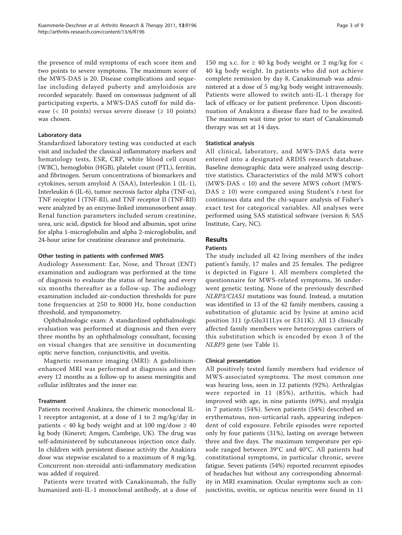the presence of mild symptoms of each score item and two points to severe symptoms. The maximum score of the MWS-DAS is 20. Disease complications and sequelae including delayed puberty and amyloidosis are recorded separately. Based on consensus judgment of all participating experts, a MWS-DAS cutoff for mild disease (< 10 points) versus severe disease ( $\geq$  10 points) was chosen.

## Laboratory data

Standardized laboratory testing was conducted at each visit and included the classical inflammatory markers and hematology tests, ESR, CRP, white blood cell count (WBC), hemoglobin (HGB), platelet count (PTL), ferritin, and fibrinogen. Serum concentrations of biomarkers and cytokines, serum amyloid A (SAA), Interleukin 1 (IL-1), Interleukin 6 (IL-6), tumor necrosis factor alpha (TNF- $\alpha$ ), TNF receptor I (TNF-RI), and TNF receptor II (TNF-RII) were analyzed by an enzyme-linked immunosorbent assay. Renal function parameters included serum creatinine, urea, uric acid, dipstick for blood and albumin, spot urine for alpha 1-microglobulin and alpha 2-microglobulin, and 24-hour urine for creatinine clearance and proteinuria.

#### Other testing in patients with confirmed MWS

Audiology Assessment: Ear, Nose, and Throat (ENT) examination and audiogram was performed at the time of diagnosis to evaluate the status of hearing and every six months thereafter as a follow-up. The audiology examination included air-conduction thresholds for pure tone frequencies at 250 to 8000 Hz, bone conduction threshold, and tympanometry.

Ophthalmologic exam: A standardized ophthalmologic evaluation was performed at diagnosis and then every three months by an ophthalmology consultant, focusing on visual changes that are sensitive in documenting optic nerve function, conjunctivitis, and uveitis.

Magnetic resonance imaging (MRI): A gadoliniumenhanced MRI was performed at diagnosis and then every 12 months as a follow-up to assess meningitis and cellular infiltrates and the inner ear.

## **Treatment**

Patients received Anakinra, the chimeric monoclonal IL-1 receptor antagonist, at a dose of 1 to 2 mg/kg/day in patients < 40 kg body weight and at 100 mg/dose  $\geq 40$ kg body (Kineret; Amgen, Cambrige, UK). The drug was self-administered by subcutaneous injection once daily. In children with persistent disease activity the Anakinra dose was stepwise escalated to a maximum of 8 mg/kg. Concurrent non-steroidal anti-inflammatory medication was added if required.

Patients were treated with Canakinumab, the fully humanized anti-IL-1 monoclonal antibody, at a dose of

150 mg s.c. for  $\geq$  40 kg body weight or 2 mg/kg for  $\lt$ 40 kg body weight. In patients who did not achieve complete remission by day 8, Canakinumab was administered at a dose of 5 mg/kg body weight intravenously. Patients were allowed to switch anti-IL-1 therapy for lack of efficacy or for patient preference. Upon discontinuation of Anakinra a disease flare had to be awaited. The maximum wait time prior to start of Canakinumab therapy was set at 14 days.

#### Statistical analysis

All clinical, laboratory, and MWS-DAS data were entered into a designated ARDIS research database. Baseline demographic data were analyzed using descriptive statistics. Characteristics of the mild MWS cohort (MWS-DAS < 10) and the severe MWS cohort (MWS- $DAS \geq 10$ ) were compared using Student's *t*-test for continuous data and the chi-square analysis of Fisher's exact test for categorical variables. All analyses were performed using SAS statistical software (version 8; SAS Institute, Cary, NC).

#### Results

## Patients

The study included all 42 living members of the index patient's family, 17 males and 25 females. The pedigree is depicted in Figure [1](#page-3-0). All members completed the questionnaire for MWS-related symptoms, 36 underwent genetic testing. None of the previously described NLRP3/CIAS1 mutations was found. Instead, a mutation was identified in 13 of the 42 family members, causing a substitution of glutamic acid by lysine at amino acid position 311 (p.Glu311Lys or E311K). All 13 clinically affected family members were heterozygous carriers of this substitution which is encoded by exon 3 of the NLRP3 gene (see Table [1\)](#page-3-0).

#### Clinical presentation

All positively tested family members had evidence of MWS-associated symptoms. The most common one was hearing loss, seen in 12 patients (92%). Arthralgias were reported in 11 (85%), arthritis, which had improved with age, in nine patients (69%), and myalgia in 7 patients (54%). Seven patients (54%) described an erythematous, non-urticarial rash, appearing independent of cold exposure. Febrile episodes were reported only by four patients (31%), lasting on average between three and five days. The maximum temperature per episode ranged between 39°C and 40°C. All patients had constitutional symptoms, in particular chronic, severe fatigue. Seven patients (54%) reported recurrent episodes of headaches but without any corresponding abnormality in MRI examination. Ocular symptoms such as conjunctivitis, uveitis, or opticus neuritis were found in 11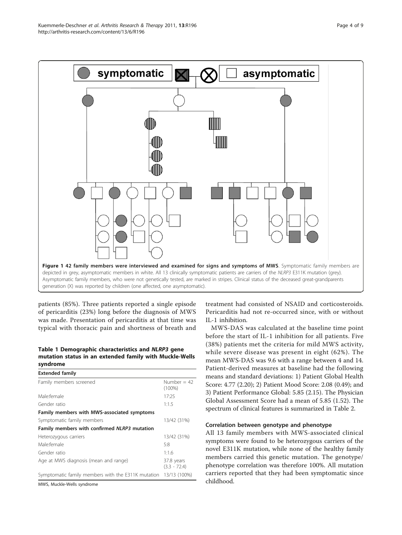patients (85%). Three patients reported a single episode of pericarditis (23%) long before the diagnosis of MWS was made. Presentation of pericarditis at that time was typical with thoracic pain and shortness of breath and

## Table 1 Demographic characteristics and NLRP3 gene mutation status in an extended family with Muckle-Wells syndrome

| <b>Extended family</b>                                          |                              |
|-----------------------------------------------------------------|------------------------------|
| Family members screened                                         | Number = $42$<br>$(100\%)$   |
| Male female                                                     | 17:25                        |
| Gender ratio                                                    | 1:1.5                        |
| Family members with MWS-associated symptoms                     |                              |
| Symptomatic family members                                      | 13/42 (31%)                  |
| Family members with confirmed NLRP3 mutation                    |                              |
| Heterozygous carriers                                           | 13/42 (31%)                  |
| Male:female                                                     | 5:8                          |
| Gender ratio                                                    | 1:1.6                        |
| Age at MWS diagnosis (mean and range)                           | 37.8 years<br>$(3.3 - 72.4)$ |
| Symptomatic family members with the E311K mutation 13/13 (100%) |                              |
| MWS, Muckle-Wells syndrome                                      |                              |

treatment had consisted of NSAID and corticosteroids. Pericarditis had not re-occurred since, with or without IL-1 inhibition.

MWS-DAS was calculated at the baseline time point before the start of IL-1 inhibition for all patients. Five (38%) patients met the criteria for mild MWS activity, while severe disease was present in eight (62%). The mean MWS-DAS was 9.6 with a range between 4 and 14. Patient-derived measures at baseline had the following means and standard deviations: 1) Patient Global Health Score: 4.77 (2.20); 2) Patient Mood Score: 2.08 (0.49); and 3) Patient Performance Global: 5.85 (2.15). The Physician Global Assessment Score had a mean of 5.85 (1.52). The spectrum of clinical features is summarized in Table [2.](#page-4-0)

## Correlation between genotype and phenotype

All 13 family members with MWS-associated clinical symptoms were found to be heterozygous carriers of the novel E311K mutation, while none of the healthy family members carried this genetic mutation. The genotype/ phenotype correlation was therefore 100%. All mutation carriers reported that they had been symptomatic since childhood.

<span id="page-3-0"></span>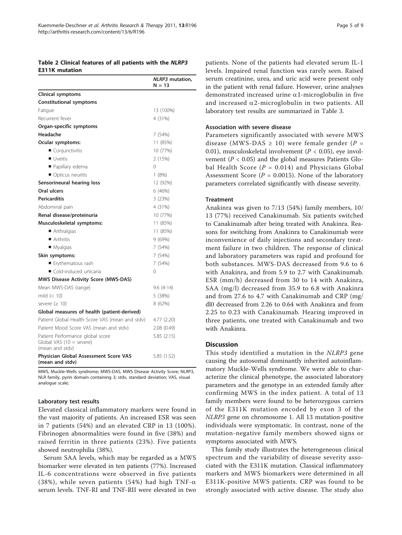## <span id="page-4-0"></span>Table 2 Clinical features of all patients with the NLRP3 E311K mutation

|                                                                                          | <b>NLRP3</b> mutation,<br>$N = 13$ |
|------------------------------------------------------------------------------------------|------------------------------------|
| Clinical symptoms                                                                        |                                    |
| <b>Constitutional symptoms</b>                                                           |                                    |
| Fatigue                                                                                  | 13 (100%)                          |
| Recurrent fever                                                                          | 4 (31%)                            |
| Organ-specific symptoms                                                                  |                                    |
| Headache                                                                                 | 7 (54%)                            |
| Ocular symptoms:                                                                         | 11 (85%)                           |
| Conjunctivitis                                                                           | 10 (77%)                           |
| Uveitis                                                                                  | 2(15%)                             |
| Papillary edema                                                                          | $\Omega$                           |
| Opticus neuritis                                                                         | 1(8%)                              |
| Sensorineural hearing loss                                                               | 12 (92%)                           |
| Oral ulcers                                                                              | 6(46%)                             |
| <b>Pericarditis</b>                                                                      | 3(23%)                             |
| Abdominal pain                                                                           | 4 (31%)                            |
| Renal disease/proteinuria                                                                | 10 (77%)                           |
| Musculoskeletal symptoms:                                                                | 11 (85%)                           |
| Arthralgias                                                                              | 11 (85%)                           |
| Arthritis                                                                                | 9(69%)                             |
| ■ Myalgias                                                                               | 7 (54%)                            |
| Skin symptoms:                                                                           | 7(54%)                             |
| ■ Erythematous rash                                                                      | 7 (54%)                            |
| Cold-induced urticaria                                                                   | $\Omega$                           |
| MWS Disease Activity Score (MWS-DAS)                                                     |                                    |
| Mean MWS-DAS (range)                                                                     | $9.6(4-14)$                        |
| mild $(< 10)$                                                                            | 5 (38%)                            |
| severe ( $\geq 10$ )                                                                     | 8 (62%)                            |
| Global measures of health (patient-derived)                                              |                                    |
| Patient Global Health Score VAS (mean and stdv)                                          | 4.77 (2.20)                        |
| Patient Mood Score VAS (mean and stdy)                                                   | 2.08(0.49)                         |
| Patient Performance global score<br>Global VAS $(10 = \text{severe})$<br>(mean and stdy) | 5.85(2.15)                         |
| Physician Global Assessment Score VAS<br>(mean and stdy)                                 | 5.85 (1.52)                        |

MWS, Muckle-Wells syndrome; MWS-DAS, MWS Disease Activity Score; NLRP3, NLR family, pyrin domain containing 3; stdv, standard deviation; VAS, visual analogue scale;

## Laboratory test results

Elevated classical inflammatory markers were found in the vast majority of patients. An increased ESR was seen in 7 patients (54%) and an elevated CRP in 13 (100%). Fibrinogen abnormalities were found in five (38%) and raised ferritin in three patients (23%). Five patients showed neutrophilia (38%).

Serum SAA levels, which may be regarded as a MWS biomarker were elevated in ten patients (77%). Increased IL-6 concentrations were observed in five patients (38%), while seven patients (54%) had high TNF- $\alpha$ serum levels. TNF-RI and TNF-RII were elevated in two

patients. None of the patients had elevated serum IL-1 levels. Impaired renal function was rarely seen. Raised serum creatinine, urea, and uric acid were present only in the patient with renal failure. However, urine analyses demonstrated increased urine  $\alpha$ 1-microglobulin in five and increased  $\alpha$ 2-microglobulin in two patients. All laboratory test results are summarized in Table [3.](#page-5-0)

#### Association with severe disease

Parameters significantly associated with severe MWS disease (MWS-DAS  $\geq$  10) were female gender (P = 0.01), musculoskeletal involvement ( $P < 0.05$ ), eye involvement ( $P < 0.05$ ) and the global measures Patients Global Health Score ( $P = 0.014$ ) and Physicians Global Assessment Score ( $P = 0.0015$ ). None of the laboratory parameters correlated significantly with disease severity.

#### **Treatment**

Anakinra was given to 7/13 (54%) family members, 10/ 13 (77%) received Canakinumab. Six patients switched to Canakinumab after being treated with Anakinra. Reasons for switching from Anakinra to Canakinumab were inconvenience of daily injections and secondary treatment failure in two children. The response of clinical and laboratory parameters was rapid and profound for both substances. MWS-DAS decreased from 9.6 to 6 with Anakinra, and from 5.9 to 2.7 with Canakinumab. ESR (mm/h) decreased from 30 to 14 with Anakinra, SAA (mg/l) decreased from 35.9 to 6.8 with Anakinra and from 27.6 to 4.7 with Canakinumab and CRP (mg/ dl0 decreased from 2.26 to 0.64 with Anakinra and from 2.25 to 0.23 with Canakinumab. Hearing improved in three patients, one treated with Canakinumab and two with Anakinra.

#### **Discussion**

This study identified a mutation in the NLRP3 gene causing the autosomal dominantly inherited autoinflammatory Muckle-Wells syndrome. We were able to characterize the clinical phenotype, the associated laboratory parameters and the genotype in an extended family after confirming MWS in the index patient. A total of 13 family members were found to be heterozygous carriers of the E311K mutation encoded by exon 3 of the NLRP3 gene on chromosome 1. All 13 mutation-positive individuals were symptomatic. In contrast, none of the mutation-negative family members showed signs or symptoms associated with MWS.

This family study illustrates the heterogeneous clinical spectrum and the variability of disease severity associated with the E311K mutation. Classical inflammatory markers and MWS biomarkers were determined in all E311K-positive MWS patients. CRP was found to be strongly associated with active disease. The study also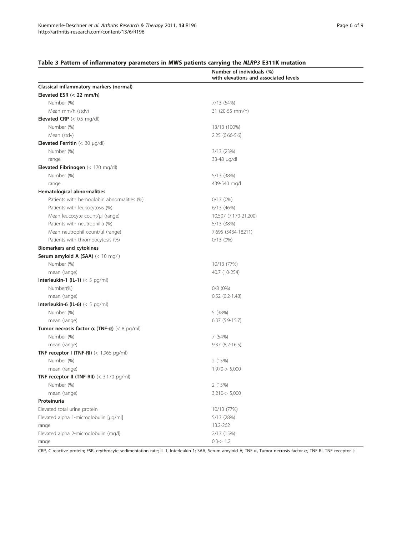## <span id="page-5-0"></span>Table 3 Pattern of inflammatory parameters in MWS patients carrying the NLRP3 E311K mutation

|                                                             | Number of individuals (%)<br>with elevations and associated levels |
|-------------------------------------------------------------|--------------------------------------------------------------------|
| Classical inflammatory markers (normal)                     |                                                                    |
| Elevated ESR $(< 22$ mm/h)                                  |                                                                    |
| Number (%)                                                  | 7/13 (54%)                                                         |
| Mean mm/h (stdv)                                            | 31 (20-55 mm/h)                                                    |
| <b>Elevated CRP</b> $(< 0.5$ mg/dl)                         |                                                                    |
| Number (%)                                                  | 13/13 (100%)                                                       |
| Mean (stdv)                                                 | $2.25(0.66-5.6)$                                                   |
| <b>Elevated Ferritin</b> $(< 30 \mu q/dl)$                  |                                                                    |
| Number (%)                                                  | 3/13 (23%)                                                         |
| range                                                       | 33-48 µg/dl                                                        |
| Elevated Fibrinogen (< 170 mg/dl)                           |                                                                    |
| Number (%)                                                  | 5/13 (38%)                                                         |
| range                                                       | 439-540 mg/l                                                       |
| Hematological abnormalities                                 |                                                                    |
| Patients with hemoglobin abnormalities (%)                  | 0/13(0%)                                                           |
| Patients with leukocytosis (%)                              | $6/13$ (46%)                                                       |
| Mean leucocyte count/µl (range)                             | 10,507 (7,170-21,200)                                              |
| Patients with neutrophilia (%)                              | 5/13 (38%)                                                         |
| Mean neutrophil count/µl (range)                            | 7,695 (3434-18211)                                                 |
| Patients with thrombocytosis (%)                            | 0/13(0%)                                                           |
| <b>Biomarkers and cytokines</b>                             |                                                                    |
| Serum amyloid A (SAA) (< 10 mg/l)                           |                                                                    |
| Number (%)                                                  | 10/13 (77%)                                                        |
| mean (range)                                                | 40.7 (10-254)                                                      |
| Interleukin-1 (IL-1) $(< 5$ pg/ml)                          |                                                                    |
| Number(%)                                                   | $0/8(0\%)$                                                         |
| mean (range)                                                | $0.52$ $(0.2 - 1.48)$                                              |
| Interleukin-6 (IL-6) $(< 5$ pg/ml)                          |                                                                    |
| Number (%)                                                  | 5(38%)                                                             |
| mean (range)                                                | $6.37(5.9-15.7)$                                                   |
| Tumor necrosis factor $\alpha$ (TNF- $\alpha$ ) (< 8 pg/ml) |                                                                    |
| Number (%)                                                  | 7 (54%)                                                            |
| mean (range)                                                | $9.37(8,2-16.5)$                                                   |
| TNF receptor I (TNF-RI) $(< 1,966$ pg/ml)                   |                                                                    |
| Number (%)                                                  | 2 (15%)                                                            |
| mean (range)                                                | 1,970-> 5,000                                                      |
| TNF receptor II (TNF-RII) $(< 3,170$ pg/ml)                 |                                                                    |
| Number (%)                                                  | 2 (15%)                                                            |
| mean (range)                                                | $3,210 \rightarrow 5,000$                                          |
| Proteinuria                                                 |                                                                    |
| Elevated total urine protein                                | 10/13 (77%)                                                        |
| Elevated alpha 1-microglobulin [µg/ml]                      | 5/13 (28%)                                                         |
| range                                                       | 13.2-262                                                           |
| Elevated alpha 2-microglobulin (mg/l)                       | 2/13 (15%)                                                         |
| range                                                       | $0.3 - > 1.2$                                                      |

CRP, C-reactive protein; ESR, erythrocyte sedimentation rate; IL-1, Interleukin-1; SAA, Serum amyloid A; TNF-a, Tumor necrosis factor  $\alpha$ ; TNF-RI, TNF receptor I;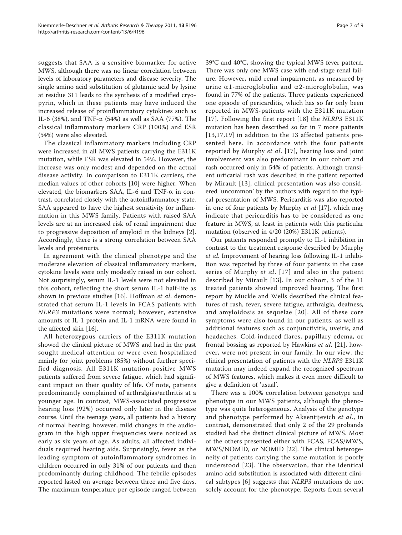suggests that SAA is a sensitive biomarker for active MWS, although there was no linear correlation between levels of laboratory parameters and disease severity. The single amino acid substitution of glutamic acid by lysine at residue 311 leads to the synthesis of a modified cryopyrin, which in these patients may have induced the increased release of proinflammatory cytokines such as IL-6 (38%), and TNF- $\alpha$  (54%) as well as SAA (77%). The classical inflammatory markers CRP (100%) and ESR (54%) were also elevated.

The classical inflammatory markers including CRP were increased in all MWS patients carrying the E311K mutation, while ESR was elevated in 54%. However, the increase was only modest and depended on the actual disease activity. In comparison to E311K carriers, the median values of other cohorts [[10\]](#page-7-0) were higher. When elevated, the biomarkers SAA, IL-6 and TNF- $\alpha$  in contrast, correlated closely with the autoinflammatory state. SAA appeared to have the highest sensitivity for inflammation in this MWS family. Patients with raised SAA levels are at an increased risk of renal impairment due to progressive deposition of amyloid in the kidneys [\[2](#page-7-0)]. Accordingly, there is a strong correlation between SAA levels and proteinuria.

In agreement with the clinical phenotype and the moderate elevation of classical inflammatory markers, cytokine levels were only modestly raised in our cohort. Not surprisingly, serum IL-1 levels were not elevated in this cohort, reflecting the short serum IL-1 half-life as shown in previous studies [[16\]](#page-8-0). Hoffman et al. demonstrated that serum IL-1 levels in FCAS patients with NLRP3 mutations were normal; however, extensive amounts of IL-1 protein and IL-1 mRNA were found in the affected skin [[16](#page-8-0)].

All heterozygous carriers of the E311K mutation showed the clinical picture of MWS and had in the past sought medical attention or were even hospitalized mainly for joint problems (85%) without further specified diagnosis. All E311K mutation-positive MWS patients suffered from severe fatigue, which had significant impact on their quality of life. Of note, patients predominantly complained of arthralgias/arthritis at a younger age. In contrast, MWS-associated progressive hearing loss (92%) occurred only later in the disease course. Until the teenage years, all patients had a history of normal hearing; however, mild changes in the audiogram in the high upper frequencies were noticed as early as six years of age. As adults, all affected individuals required hearing aids. Surprisingly, fever as the leading symptom of autoinflammatory syndromes in children occurred in only 31% of our patients and then predominantly during childhood. The febrile episodes reported lasted on average between three and five days. The maximum temperature per episode ranged between 39°C and 40°C, showing the typical MWS fever pattern. There was only one MWS case with end-stage renal failure. However, mild renal impairment, as measured by urine  $\alpha$ 1-microglobulin and  $\alpha$ 2-microglobulin, was found in 77% of the patients. Three patients experienced one episode of pericarditis, which has so far only been reported in MWS-patients with the E311K mutation [[17](#page-8-0)]. Following the first report [[18\]](#page-8-0) the NLRP3 E311K mutation has been described so far in 7 more patients [[13,17](#page-8-0),[19](#page-8-0)] in addition to the 13 affected patients presented here. In accordance with the four patients reported by Murphy et al. [[17](#page-8-0)], hearing loss and joint involvement was also predominant in our cohort and rash occurred only in 54% of patients. Although transient urticarial rash was described in the patient reported by Mirault [\[13\]](#page-8-0), clinical presentation was also considered 'uncommon' by the authors with regard to the typical presentation of MWS. Pericarditis was also reported in one of four patients by Murphy et al [\[17](#page-8-0)], which may indicate that pericarditis has to be considered as one feature in MWS, at least in patients with this particular mutation (observed in 4/20 (20%) E311K patients).

Our patients responded promptly to IL-1 inhibition in contrast to the treatment response described by Murphy et al. Improvement of hearing loss following IL-1 inhibition was reported by three of four patients in the case series of Murphy et al. [[17\]](#page-8-0) and also in the patient described by Mirault [[13](#page-8-0)]. In our cohort, 3 of the 11 treated patients showed improved hearing. The first report by Muckle and Wells described the clinical features of rash, fever, severe fatigue, arthralgia, deafness, and amyloidosis as sequelae [[20\]](#page-8-0). All of these core symptoms were also found in our patients, as well as additional features such as conjunctivitis, uveitis, and headaches. Cold-induced flares, papillary edema, or frontal bossing as reported by Hawkins et al. [[21\]](#page-8-0), however, were not present in our family. In our view, the clinical presentation of patients with the NLRP3 E311K mutation may indeed expand the recognized spectrum of MWS features, which makes it even more difficult to give a definition of 'usual'.

There was a 100% correlation between genotype and phenotype in our MWS patients, although the phenotype was quite heterogeneous. Analysis of the genotype and phenotype performed by Aksentijevich et al., in contrast, demonstrated that only 2 of the 29 probands studied had the distinct clinical picture of MWS. Most of the others presented either with FCAS, FCAS/MWS, MWS/NOMID, or NOMID [\[22](#page-8-0)]. The clinical heterogeneity of patients carrying the same mutation is poorly understood [[23\]](#page-8-0). The observation, that the identical amino acid substitution is associated with different clinical subtypes [[6\]](#page-7-0) suggests that NLRP3 mutations do not solely account for the phenotype. Reports from several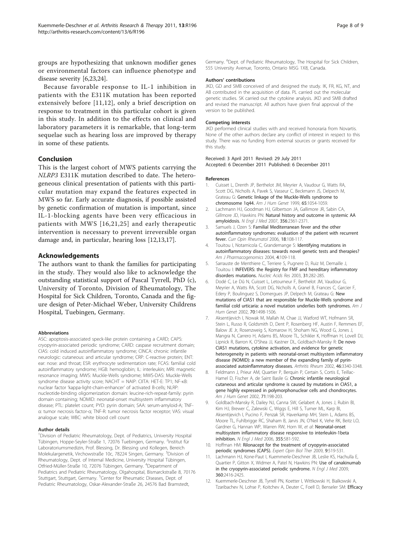<span id="page-7-0"></span>groups are hypothesizing that unknown modifier genes or environmental factors can influence phenotype and disease severity [6[,23,24](#page-8-0)].

Because favorable response to IL-1 inhibition in patients with the E311K mutation has been reported extensively before [11,12], only a brief description on response to treatment in this particular cohort is given in this study. In addition to the effects on clinical and laboratory parameters it is remarkable, that long-term sequelae such as hearing loss are improved by therapy in some of these patients.

#### Conclusion

This is the largest cohort of MWS patients carrying the NLRP3 E311K mutation described to date. The heterogeneous clinical presentation of patients with this particular mutation may expand the features expected in MWS so far. Early accurate diagnosis, if possible assisted by genetic confirmation of mutation is important, since IL-1-blocking agents have been very efficacious in patients with MWS [[16,21](#page-8-0),[25](#page-8-0)] and early therapeutic intervention is necessary to prevent irreversible organ damage and, in particular, hearing loss [12[,13,17\]](#page-8-0).

#### Acknowledgements

The authors want to thank the families for participating in the study. They would also like to acknowledge the outstanding statistical support of Pascal Tyrrell, PhD (c), University of Toronto, Division of Rheumatology, The Hospital for Sick Children, Toronto, Canada and the figure design of Peter-Michael Weber, University Childrens Hospital, Tuebingen, Germany.

#### Abbreviations

ASC: apoptosis-associated speck-like protein containing a CARD; CAPS: cryopyrin-associated periodic syndrome; CARD: caspase recruitment domain; CIAS: cold induced autoinflammatory syndrome; CINCA: chronic infantile neurologic: cutaneous: and articular syndrome; CRP: C-reactive protein; ENT: ear: nose: and throat; ESR: erythrocyte sedimentation rate; FCAS: familial cold autoinflammatory syndrome; HGB: hemoglobin; IL: interleukin; MRI: magnetic resonance imaging; MWS: Muckle-Wells syndrome; MWS-DAS: Muckle-Wells syndrome disease activity score; NACHT = NAIP: CIITA: HET-E: TP1; NF-κB: nuclear factor 'kappa-light-chain-enhancer' of activated B-cells; NLRP: nucleotide-binding oligomerization domain: leucine-rich-repeat-family: pyrin domain containing; NOMID: neonatal-onset multisystem inflammatory disease; PTL: platelet count; PYD: pyrin domain; SAA: serum-amyloid-A; TNFα: tumor necrosis factor-α; TNF-R: tumor necrosis factor receptor; VAS: visual analogue scale; WBC: white blood cell count

#### Author details

<sup>1</sup> Division of Pediatric Rheumatology, Dept. of Pediatrics, University Hospital Tübingen, Hoppe-Seyler-Straße 1, 72076 Tuebingen, Germany. <sup>2</sup>Institut für Laboratoriumsmedizin, Prof. Blessing, Dr. Blessing und Kollegen, Bereich Molekulargenetik, Virchowstraße 10c, 78224 Singen, Germany. <sup>3</sup>Division of Rheumatology, Dept. of Internal Medicine, University Hospital Tübingen, Otfried-Müller-Straße 10, 72076 Tübingen, Germany. <sup>4</sup>Department of Pediatrics and Pediatric Rheumatology, Olgahospital, Bismarckstraße 8, 70176 Stuttgart, Stuttgart, Germany. <sup>5</sup>Center for Rheumatic Diseases, Dept. of Pediatric Rheumatology, Oskar-Alexander-Straße 26, 24576 Bad Bramstedt,

#### Authors' contributions

JKD, GD and SMB conceived of and designed the study. IK, FR, KG, NT, and AB contributed in the acquisition of data. PL carried out the molecular genetic studies. SK carried out the cytokine analysis. JKD and SMB drafted and revised the manuscript. All authors have given final approval of the version to be published.

#### Competing interests

JKD performed clinical studies with and received honoraria from Novartis. None of the other authors declare any conflict of interest in respect to this study. There was no funding from external sources or grants received for this study.

Received: 3 April 2011 Revised: 29 July 2011 Accepted: 6 December 2011 Published: 6 December 2011

#### References

- 1. Cuisset L, Drenth JP, Berthelot JM, Meyrier A, Vaudour G, Watts RA, Scott DG, Nicholls A, Pavek S, Vasseur C, Beckmann JS, Delpech M, Grateau G: [Genetic linkage of the Muckle-Wells syndrome to](http://www.ncbi.nlm.nih.gov/pubmed/10486324?dopt=Abstract) [chromosome 1q44.](http://www.ncbi.nlm.nih.gov/pubmed/10486324?dopt=Abstract) Am J Hum Genet 1999, 65:1054-1059.
- 2. Lachmann HJ, Goodman HJ, Gilbertson JA, Gallimore JR, Sabin CA, Gillmore JD, Hawkins PN: [Natural history and outcome in systemic AA](http://www.ncbi.nlm.nih.gov/pubmed/17554117?dopt=Abstract) [amyloidosis.](http://www.ncbi.nlm.nih.gov/pubmed/17554117?dopt=Abstract) N Engl J Med 2007, 356:2361-2371.
- 3. Samuels J, Ozen S: [Familial Mediterranean fever and the other](http://www.ncbi.nlm.nih.gov/pubmed/16344627?dopt=Abstract) [autoinflammatory syndromes: evaluation of the patient with recurrent](http://www.ncbi.nlm.nih.gov/pubmed/16344627?dopt=Abstract) [fever.](http://www.ncbi.nlm.nih.gov/pubmed/16344627?dopt=Abstract) Curr Opin Rheumatol 2006, 18:108-117.
- 4. Touitou I, Notarnicola C, Grandemange S: [Identifying mutations in](http://www.ncbi.nlm.nih.gov/pubmed/15059033?dopt=Abstract) [autoinflammatory diseases: towards novel genetic tests and therapies?](http://www.ncbi.nlm.nih.gov/pubmed/15059033?dopt=Abstract) Am J Pharmacogenomics 2004, 4:109-118.
- 5. Sarrauste de Menthiere C, Terriere S, Pugnere D, Ruiz M, Demaille J, Touitou I: [INFEVERS: the Registry for FMF and hereditary inflammatory](http://www.ncbi.nlm.nih.gov/pubmed/12520003?dopt=Abstract) [disorders mutations.](http://www.ncbi.nlm.nih.gov/pubmed/12520003?dopt=Abstract) Nucleic Acids Res 2003, 31:282-285.
- 6. Dodé C, Le Dû N, Cuisset L, Letourneur F, Berthelot JM, Vaudour G, Meyrier A, Watts RA, Scott DG, Nicholls A, Granel B, Frances C, Garcier F, Edery P, Boulinguez S, Domergues JP, Delpech M, Grateau G: [New](http://www.ncbi.nlm.nih.gov/pubmed/11992256?dopt=Abstract) [mutations of CIAS1 that are responsible for Muckle-Wells syndrome and](http://www.ncbi.nlm.nih.gov/pubmed/11992256?dopt=Abstract) [familial cold urticaria: a novel mutation underlies both syndromes.](http://www.ncbi.nlm.nih.gov/pubmed/11992256?dopt=Abstract) Am J Hum Genet 2002, 70:1498-1506.
- 7. Aksentijevich I, Nowak M, Mallah M, Chae JJ, Watford WT, Hofmann SR, Stein L, Russo R, Goldsmith D, Dent P, Rosenberg HF, Austin F, Remmers EF, Balow JE Jr, Rosenzweig S, Komarow H, Shoham NG, Wood G, Jones J, Mangra N, Carrero H, Adams BS, Moore TL, Schikler K, Hoffman H, Lovell DJ, Lipnick R, Barron K, O'Shea JJ, Kastner DL, Goldbach-Mansky R: [De novo](http://www.ncbi.nlm.nih.gov/pubmed/12483741?dopt=Abstract) [CIAS1 mutations, cytokine activation, and evidence for genetic](http://www.ncbi.nlm.nih.gov/pubmed/12483741?dopt=Abstract) [heterogeneity in patients with neonatal-onset multisystem inflammatory](http://www.ncbi.nlm.nih.gov/pubmed/12483741?dopt=Abstract) [disease \(NOMID\): a new member of the expanding family of pyrin](http://www.ncbi.nlm.nih.gov/pubmed/12483741?dopt=Abstract)[associated autoinflammatory diseases.](http://www.ncbi.nlm.nih.gov/pubmed/12483741?dopt=Abstract) Arthritis Rheum 2002, 46:3340-3348.
- 8. Feldmann J, Prieur AM, Quartier P, Berquin P, Certain S, Cortis E, Teillac-Hamel D, Fischer A, de Saint Basile G: [Chronic infantile neurological](http://www.ncbi.nlm.nih.gov/pubmed/12032915?dopt=Abstract) [cutaneous and articular syndrome is caused by mutations in CIAS1, a](http://www.ncbi.nlm.nih.gov/pubmed/12032915?dopt=Abstract) [gene highly expressed in polymorphonuclear cells and chondrocytes.](http://www.ncbi.nlm.nih.gov/pubmed/12032915?dopt=Abstract) Am J Hum Genet 2002, 71:198-203.
- 9. Goldbach-Mansky R, Dailey NJ, Canna SW, Gelabert A, Jones J, Rubin BI, Kim HJ, Brewer C, Zalewski C, Wiggs E, Hill S, Turner ML, Karp BI, Aksentijevich I, Pucino F, Penzak SR, Haverkamp MH, Stein L, Adams BS, Moore TL, Fuhlbrigge RC, Shaham B, Jarvis JN, O'Neil K, Vehe RK, Beitz LO, Gardner G, Hannan WP, Warren RW, Horn W, et al: [Neonatal-onset](http://www.ncbi.nlm.nih.gov/pubmed/16899778?dopt=Abstract) [multisystem inflammatory disease responsive to interleukin-1beta](http://www.ncbi.nlm.nih.gov/pubmed/16899778?dopt=Abstract) [inhibition.](http://www.ncbi.nlm.nih.gov/pubmed/16899778?dopt=Abstract) N Engl J Med 2006, 355:581-592.
- 10. Hoffman HM: [Rilonacept for the treatment of cryopyrin-associated](http://www.ncbi.nlm.nih.gov/pubmed/19344287?dopt=Abstract) [periodic syndromes \(CAPS\).](http://www.ncbi.nlm.nih.gov/pubmed/19344287?dopt=Abstract) Expert Opin Biol Ther 2009, 9:519-531.
- 11. Lachmann HJ, Kone-Paut I, Kuemmerle-Deschner JB, Leslie KS, Hachulla E, Quartier P, Gitton X, Widmer A, Patel N, Hawkins PN: [Use of canakinumab](http://www.ncbi.nlm.nih.gov/pubmed/19494217?dopt=Abstract) [in the cryopyrin-associated periodic syndrome.](http://www.ncbi.nlm.nih.gov/pubmed/19494217?dopt=Abstract) N Engl J Med 2009, 360:2416-2425.
- 12. Kuemmerle-Deschner JB, Tyrrell PN, Koetter I, Wittkowski H, Bialkowski A, Tzaribachev N, Lohse P, Koitchev A, Deuter C, Foell D, Benseler SM: [Efficacy](http://www.ncbi.nlm.nih.gov/pubmed/21360513?dopt=Abstract)